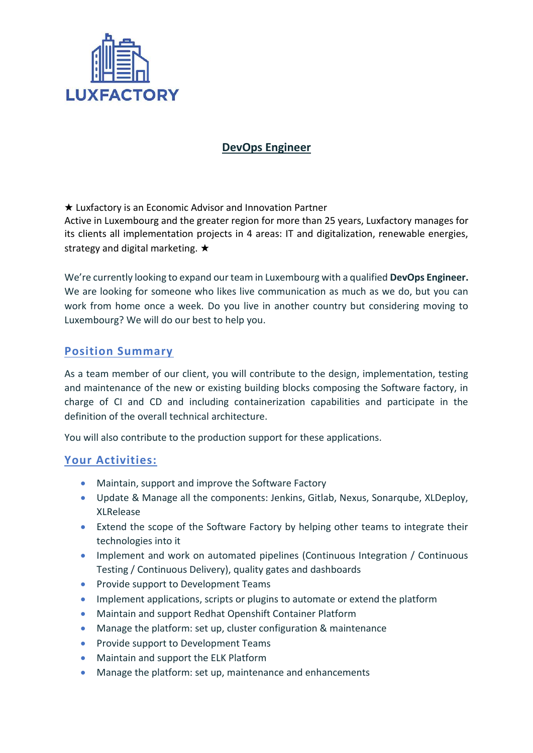

### **DevOps Engineer**

★ Luxfactory is an Economic Advisor and Innovation Partner Active in Luxembourg and the greater region for more than 25 years, Luxfactory manages for its clients all implementation projects in 4 areas: IT and digitalization, renewable energies, strategy and digital marketing. ★

We're currently looking to expand our team in Luxembourg with a qualified **DevOps Engineer.** We are looking for someone who likes live communication as much as we do, but you can work from home once a week. Do you live in another country but considering moving to Luxembourg? We will do our best to help you.

#### **Position Summary**

As a team member of our client, you will contribute to the design, implementation, testing and maintenance of the new or existing building blocks composing the Software factory, in charge of CI and CD and including containerization capabilities and participate in the definition of the overall technical architecture.

You will also contribute to the production support for these applications.

#### **Your Activities:**

- Maintain, support and improve the Software Factory
- Update & Manage all the components: Jenkins, Gitlab, Nexus, Sonarqube, XLDeploy, XLRelease
- Extend the scope of the Software Factory by helping other teams to integrate their technologies into it
- Implement and work on automated pipelines (Continuous Integration / Continuous Testing / Continuous Delivery), quality gates and dashboards
- Provide support to Development Teams
- Implement applications, scripts or plugins to automate or extend the platform
- Maintain and support Redhat Openshift Container Platform
- Manage the platform: set up, cluster configuration & maintenance
- Provide support to Development Teams
- Maintain and support the ELK Platform
- Manage the platform: set up, maintenance and enhancements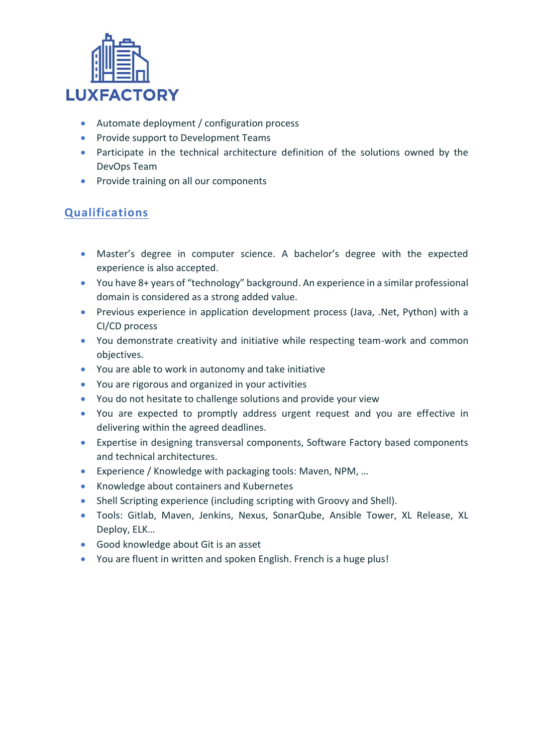

- Automate deployment / configuration process
- Provide support to Development Teams
- Participate in the technical architecture definition of the solutions owned by the DevOps Team
- Provide training on all our components

# **Qualifications**

- Master's degree in computer science. A bachelor's degree with the expected experience is also accepted.
- You have 8+ years of "technology" background. An experience in a similar professional domain is considered as a strong added value.
- Previous experience in application development process (Java, .Net, Python) with a CI/CD process
- You demonstrate creativity and initiative while respecting team-work and common objectives.
- You are able to work in autonomy and take initiative
- You are rigorous and organized in your activities
- You do not hesitate to challenge solutions and provide your view
- You are expected to promptly address urgent request and you are effective in delivering within the agreed deadlines.
- Expertise in designing transversal components, Software Factory based components and technical architectures.
- Experience / Knowledge with packaging tools: Maven, NPM, …
- Knowledge about containers and Kubernetes
- Shell Scripting experience (including scripting with Groovy and Shell).
- Tools: Gitlab, Maven, Jenkins, Nexus, SonarQube, Ansible Tower, XL Release, XL Deploy, ELK…
- Good knowledge about Git is an asset
- You are fluent in written and spoken English. French is a huge plus!